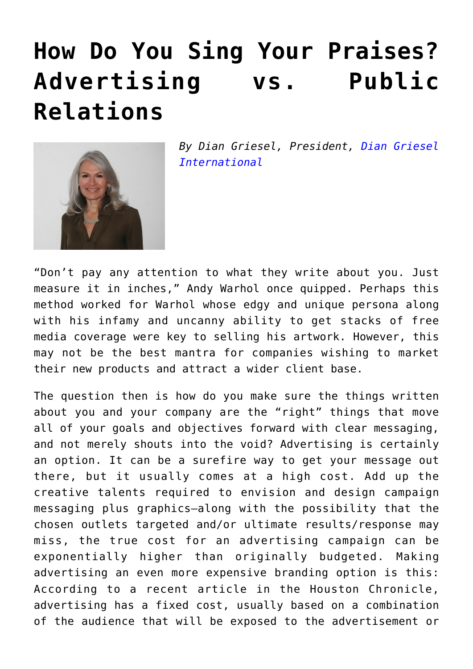## **[How Do You Sing Your Praises?](https://www.commpro.biz/how-do-you-sing-your-praises-advertising-vs-public-relations/) [Advertising vs. Public](https://www.commpro.biz/how-do-you-sing-your-praises-advertising-vs-public-relations/) [Relations](https://www.commpro.biz/how-do-you-sing-your-praises-advertising-vs-public-relations/)**



*By Dian Griesel, President, [Dian Griesel](https://www.dgicomm.com/) [International](https://www.dgicomm.com/)*

"Don't pay any attention to what they write about you. Just measure it in inches," Andy Warhol once quipped. Perhaps this method worked for Warhol whose edgy and unique persona along with his infamy and uncanny ability to get stacks of free media coverage were key to selling his artwork. However, this may not be the best mantra for companies wishing to market their new products and attract a wider client base.

The question then is how do you make sure the things written about you and your company are the "right" things that move all of your goals and objectives forward with clear messaging, and not merely shouts into the void? Advertising is certainly an option. It can be a surefire way to get your message out there, but it usually comes at a high cost. Add up the creative talents required to envision and design campaign messaging plus graphics–along with the possibility that the chosen outlets targeted and/or ultimate results/response may miss, the true cost for an advertising campaign can be exponentially higher than originally budgeted. Making advertising an even more expensive branding option is this: According to a recent article in the Houston Chronicle, advertising has a fixed cost, usually based on a combination of the audience that will be exposed to the advertisement or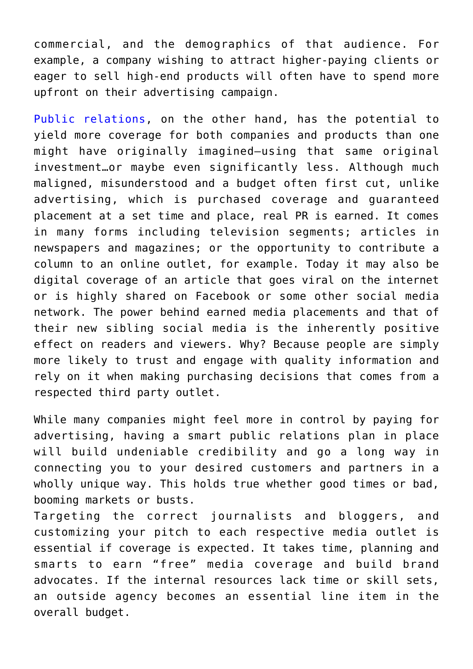commercial, and the demographics of that audience. For example, a company wishing to attract higher-paying clients or eager to sell high-end products will often have to spend more upfront on their advertising campaign.

[Public relations,](https://www.commpro.biz/public-relations-section/) on the other hand, has the potential to yield more coverage for both companies and products than one might have originally imagined—using that same original investment…or maybe even significantly less. Although much maligned, misunderstood and a budget often first cut, unlike advertising, which is purchased coverage and guaranteed placement at a set time and place, real PR is earned. It comes in many forms including television segments; articles in newspapers and magazines; or the opportunity to contribute a column to an online outlet, for example. Today it may also be digital coverage of an article that goes viral on the internet or is highly shared on Facebook or some other social media network. The power behind earned media placements and that of their new sibling social media is the inherently positive effect on readers and viewers. Why? Because people are simply more likely to trust and engage with quality information and rely on it when making purchasing decisions that comes from a respected third party outlet.

While many companies might feel more in control by paying for advertising, having a smart public relations plan in place will build undeniable credibility and go a long way in connecting you to your desired customers and partners in a wholly unique way. This holds true whether good times or bad, booming markets or busts.

Targeting the correct journalists and bloggers, and customizing your pitch to each respective media outlet is essential if coverage is expected. It takes time, planning and smarts to earn "free" media coverage and build brand advocates. If the internal resources lack time or skill sets, an outside agency becomes an essential line item in the overall budget.